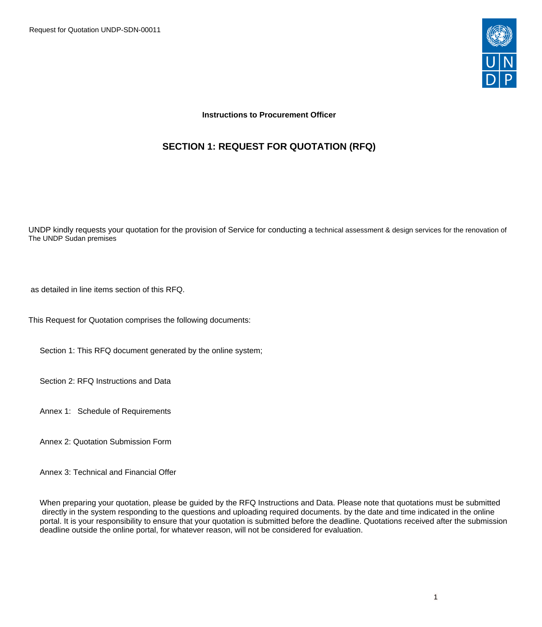Request for Quotation UNDP-SDN-00011



## **Instructions to Procurement Officer**

# **SECTION 1: REQUEST FOR QUOTATION (RFQ)**

UNDP kindly requests your quotation for the provision of Service for conducting a technical assessment & design services for the renovation of The UNDP Sudan premises

as detailed in line items section of this RFQ.

This Request for Quotation comprises the following documents:

Section 1: This RFQ document generated by the online system;

Section 2: RFQ Instructions and Data

Annex 1: Schedule of Requirements

Annex 2: Quotation Submission Form

Annex 3: Technical and Financial Offer

When preparing your quotation, please be guided by the RFQ Instructions and Data. Please note that quotations must be submitted directly in the system responding to the questions and uploading required documents. by the date and time indicated in the online portal. It is your responsibility to ensure that your quotation is submitted before the deadline. Quotations received after the submission deadline outside the online portal, for whatever reason, will not be considered for evaluation.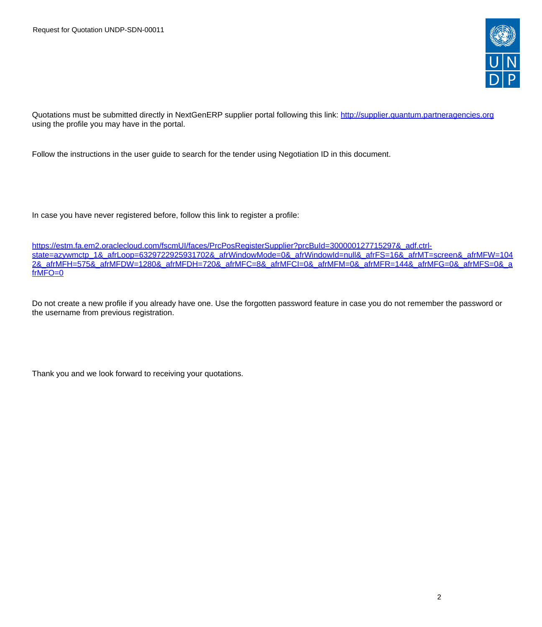

Quotations must be submitted directly in NextGenERP supplier portal following this link:<http://supplier.quantum.partneragencies.org> using the profile you may have in the portal.

Follow the instructions in the user guide to search for the tender using Negotiation ID in this document.

In case you have never registered before, follow this link to register a profile:

[https://estm.fa.em2.oraclecloud.com/fscmUI/faces/PrcPosRegisterSupplier?prcBuId=300000127715297&\\_adf.ctrl](https://estm.fa.em2.oraclecloud.com/fscmUI/faces/PrcPosRegisterSupplier?prcBuId=300000127715297&_adf.ctrl-state=azywmctp_1&_afrLoop=6329722925931702&_afrWindowMode=0&_afrWindowId=null&_afrFS=16&_afrMT=screen&_afrMFW=1042&_afrMFH=575&_afrMFDW=1280&_afrMFDH=720&_afrMFC=8&_afrMFCI=0&_afrMFM=0&_afrMFR=144&_afrMFG=0&_afrMFS=0&_afrMFO=0)[state=azywmctp\\_1&\\_afrLoop=6329722925931702&\\_afrWindowMode=0&\\_afrWindowId=null&\\_afrFS=16&\\_afrMT=screen&\\_afrMFW=104](https://estm.fa.em2.oraclecloud.com/fscmUI/faces/PrcPosRegisterSupplier?prcBuId=300000127715297&_adf.ctrl-state=azywmctp_1&_afrLoop=6329722925931702&_afrWindowMode=0&_afrWindowId=null&_afrFS=16&_afrMT=screen&_afrMFW=1042&_afrMFH=575&_afrMFDW=1280&_afrMFDH=720&_afrMFC=8&_afrMFCI=0&_afrMFM=0&_afrMFR=144&_afrMFG=0&_afrMFS=0&_afrMFO=0) [2&\\_afrMFH=575&\\_afrMFDW=1280&\\_afrMFDH=720&\\_afrMFC=8&\\_afrMFCI=0&\\_afrMFM=0&\\_afrMFR=144&\\_afrMFG=0&\\_afrMFS=0&\\_a](https://estm.fa.em2.oraclecloud.com/fscmUI/faces/PrcPosRegisterSupplier?prcBuId=300000127715297&_adf.ctrl-state=azywmctp_1&_afrLoop=6329722925931702&_afrWindowMode=0&_afrWindowId=null&_afrFS=16&_afrMT=screen&_afrMFW=1042&_afrMFH=575&_afrMFDW=1280&_afrMFDH=720&_afrMFC=8&_afrMFCI=0&_afrMFM=0&_afrMFR=144&_afrMFG=0&_afrMFS=0&_afrMFO=0) [frMFO=0](https://estm.fa.em2.oraclecloud.com/fscmUI/faces/PrcPosRegisterSupplier?prcBuId=300000127715297&_adf.ctrl-state=azywmctp_1&_afrLoop=6329722925931702&_afrWindowMode=0&_afrWindowId=null&_afrFS=16&_afrMT=screen&_afrMFW=1042&_afrMFH=575&_afrMFDW=1280&_afrMFDH=720&_afrMFC=8&_afrMFCI=0&_afrMFM=0&_afrMFR=144&_afrMFG=0&_afrMFS=0&_afrMFO=0)

Do not create a new profile if you already have one. Use the forgotten password feature in case you do not remember the password or the username from previous registration.

Thank you and we look forward to receiving your quotations.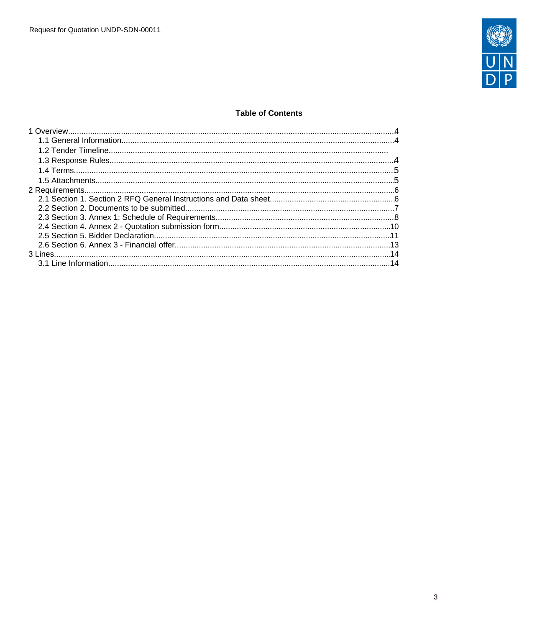

## **Table of Contents**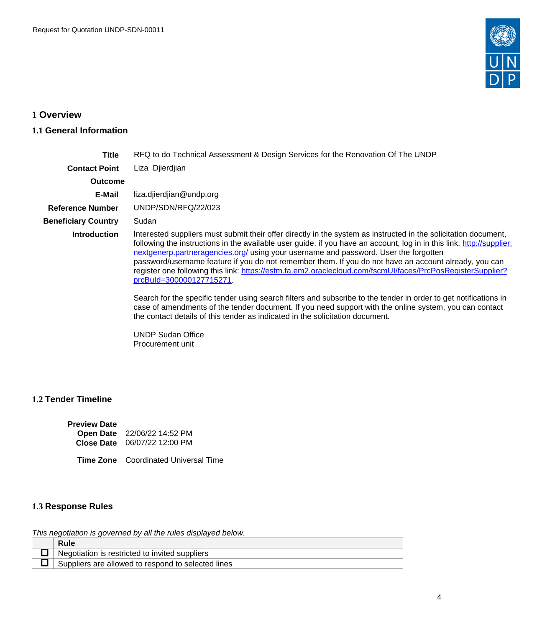

# <span id="page-3-0"></span>**1 Overview**

## <span id="page-3-1"></span>**1.1 General Information**

| Title                      | RFQ to do Technical Assessment & Design Services for the Renovation Of The UNDP                                                                                                                                                                                                                                                                                                                                                                                                                                                                                                                                                                                                                                                                                                                                                                                                                                               |
|----------------------------|-------------------------------------------------------------------------------------------------------------------------------------------------------------------------------------------------------------------------------------------------------------------------------------------------------------------------------------------------------------------------------------------------------------------------------------------------------------------------------------------------------------------------------------------------------------------------------------------------------------------------------------------------------------------------------------------------------------------------------------------------------------------------------------------------------------------------------------------------------------------------------------------------------------------------------|
| <b>Contact Point</b>       | Liza Djierdjian                                                                                                                                                                                                                                                                                                                                                                                                                                                                                                                                                                                                                                                                                                                                                                                                                                                                                                               |
| <b>Outcome</b>             |                                                                                                                                                                                                                                                                                                                                                                                                                                                                                                                                                                                                                                                                                                                                                                                                                                                                                                                               |
| E-Mail                     | liza.djierdjian@undp.org                                                                                                                                                                                                                                                                                                                                                                                                                                                                                                                                                                                                                                                                                                                                                                                                                                                                                                      |
| <b>Reference Number</b>    | UNDP/SDN/RFQ/22/023                                                                                                                                                                                                                                                                                                                                                                                                                                                                                                                                                                                                                                                                                                                                                                                                                                                                                                           |
| <b>Beneficiary Country</b> | Sudan                                                                                                                                                                                                                                                                                                                                                                                                                                                                                                                                                                                                                                                                                                                                                                                                                                                                                                                         |
| <b>Introduction</b>        | Interested suppliers must submit their offer directly in the system as instructed in the solicitation document,<br>following the instructions in the available user guide. if you have an account, log in in this link: http://supplier.<br>nextgenerp.partneragencies.org/ using your username and password. User the forgotten<br>password/username feature if you do not remember them. If you do not have an account already, you can<br>register one following this link: https://estm.fa.em2.oraclecloud.com/fscmUI/faces/PrcPosRegisterSupplier?<br>prcBuld=300000127715271<br>Search for the specific tender using search filters and subscribe to the tender in order to get notifications in<br>case of amendments of the tender document. If you need support with the online system, you can contact<br>the contact details of this tender as indicated in the solicitation document.<br><b>UNDP Sudan Office</b> |

Procurement unit

## **1.2 Tender Timeline**

| <b>Preview Date</b> |                                     |
|---------------------|-------------------------------------|
|                     | Open Date 22/06/22 14:52 PM         |
|                     | <b>Close Date</b> 06/07/22 12:00 PM |

**Time Zone** Coordinated Universal Time

# <span id="page-3-2"></span>**1.3 Response Rules**

This negotiation is governed by all the rules displayed below.

| <b>Rule</b>                                        |
|----------------------------------------------------|
| Negotiation is restricted to invited suppliers     |
| Suppliers are allowed to respond to selected lines |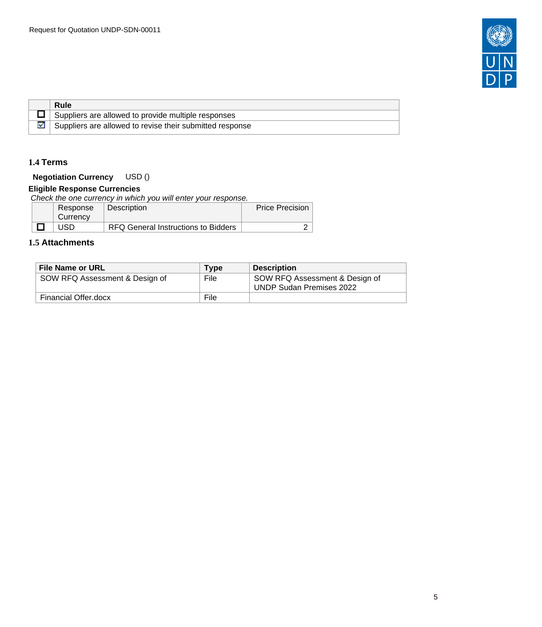

|  | Rule                                                     |
|--|----------------------------------------------------------|
|  | Suppliers are allowed to provide multiple responses      |
|  | Suppliers are allowed to revise their submitted response |

## <span id="page-4-0"></span>**1.4 Terms**

## **Negotiation Currency** USD ()

## **Eligible Response Currencies**

Check the one currency in which you will enter your response.

| Response | Description                                | <b>Price Precision</b> |
|----------|--------------------------------------------|------------------------|
| Currency |                                            |                        |
| JSD.     | <b>RFQ General Instructions to Bidders</b> | -                      |

## <span id="page-4-1"></span>**1.5 Attachments**

| <b>File Name or URL</b>        | <b>Type</b> | <b>Description</b>                                         |
|--------------------------------|-------------|------------------------------------------------------------|
| SOW RFQ Assessment & Design of | File        | SOW RFQ Assessment & Design of<br>UNDP Sudan Premises 2022 |
| Financial Offer.docx           | File        |                                                            |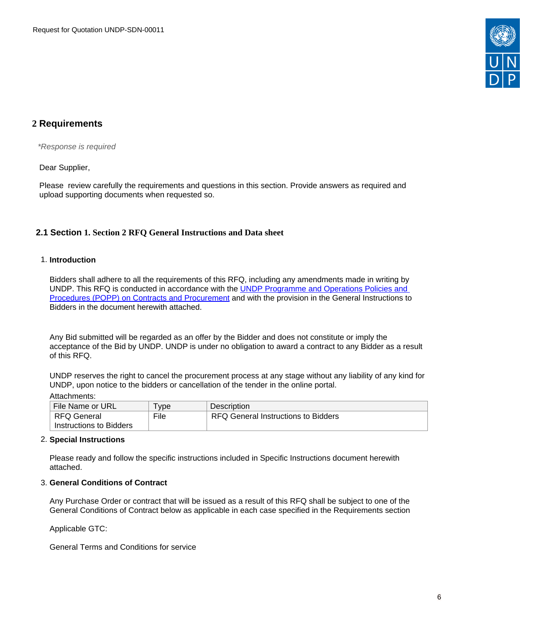

# <span id="page-5-0"></span>**2 Requirements**

\*Response is required

Dear Supplier,

Please review carefully the requirements and questions in this section. Provide answers as required and upload supporting documents when requested so.

## <span id="page-5-1"></span>**2.1 Section 1. Section 2 RFQ General Instructions and Data sheet**

### 1. **Introduction**

Bidders shall adhere to all the requirements of this RFQ, including any amendments made in writing by UNDP. This RFQ is conducted in accordance with the [UNDP Programme and Operations Policies and](https://popp.undp.org/SitePages/POPPBSUnit.aspx?TermID=254a9f96-b883-476a-8ef8-e81f93a2b38d&Menu=BusinessUnit)  [Procedures \(POPP\) on Contracts and Procurement](https://popp.undp.org/SitePages/POPPBSUnit.aspx?TermID=254a9f96-b883-476a-8ef8-e81f93a2b38d&Menu=BusinessUnit) and with the provision in the General Instructions to Bidders in the document herewith attached.

Any Bid submitted will be regarded as an offer by the Bidder and does not constitute or imply the acceptance of the Bid by UNDP. UNDP is under no obligation to award a contract to any Bidder as a result of this RFQ.

UNDP reserves the right to cancel the procurement process at any stage without any liability of any kind for UNDP, upon notice to the bidders or cancellation of the tender in the online portal.

Attachments:

| File Name or URL        | ' ype | Description                         |
|-------------------------|-------|-------------------------------------|
| RFQ General             | File  | RFQ General Instructions to Bidders |
| Instructions to Bidders |       |                                     |

### 2. **Special Instructions**

Please ready and follow the specific instructions included in Specific Instructions document herewith attached.

#### 3. **General Conditions of Contract**

Any Purchase Order or contract that will be issued as a result of this RFQ shall be subject to one of the General Conditions of Contract below as applicable in each case specified in the Requirements section

Applicable GTC:

General Terms and Conditions for service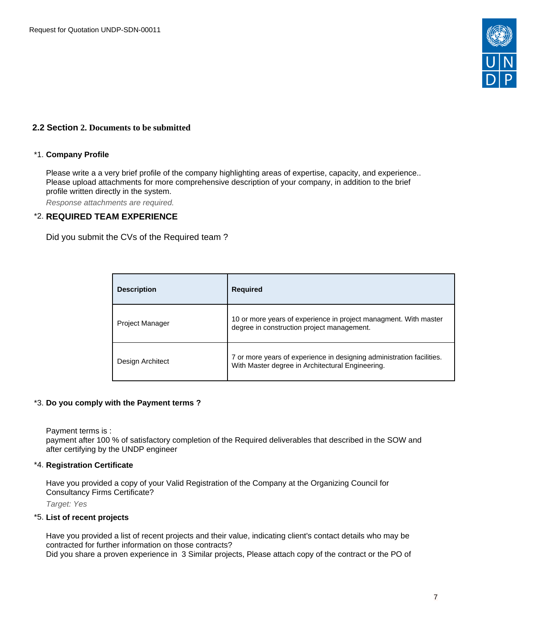

## <span id="page-6-0"></span>**2.2 Section 2. Documents to be submitted**

#### \*1. **Company Profile**

Please write a a very brief profile of the company highlighting areas of expertise, capacity, and experience.. Please upload attachments for more comprehensive description of your company, in addition to the brief profile written directly in the system.

Response attachments are required*.*

### \*2. **REQUIRED TEAM EXPERIENCE**

Did you submit the CVs of the Required team ?

|                  | <b>Description</b>     | <b>Required</b>                                                                                                           |
|------------------|------------------------|---------------------------------------------------------------------------------------------------------------------------|
|                  | <b>Project Manager</b> | 10 or more years of experience in project managment. With master<br>degree in construction project management.            |
| Design Architect |                        | 7 or more years of experience in designing administration facilities.<br>With Master degree in Architectural Engineering. |

#### \*3. **Do you comply with the Payment terms ?**

Payment terms is :

payment after 100 % of satisfactory completion of the Required deliverables that described in the SOW and after certifying by the UNDP engineer

#### \*4. **Registration Certificate**

Have you provided a copy of your Valid Registration of the Company at the Organizing Council for Consultancy Firms Certificate?

Target: Yes

#### \*5. **List of recent projects**

Have you provided a list of recent projects and their value, indicating client's contact details who may be contracted for further information on those contracts?

Did you share a proven experience in 3 Similar projects, Please attach copy of the contract or the PO of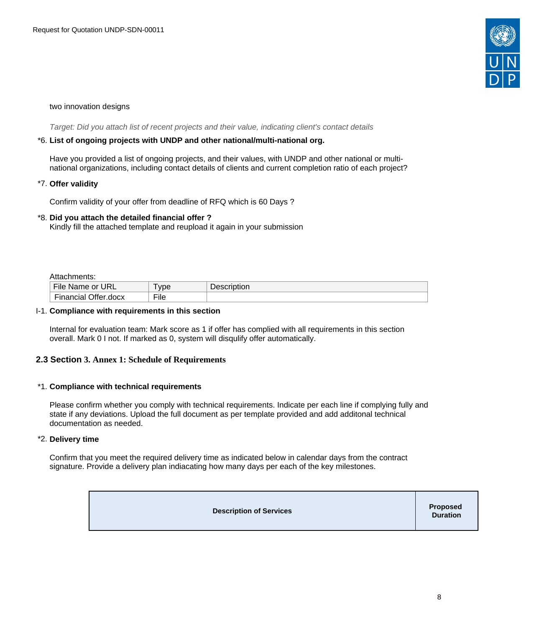

#### two innovation designs

Target: Did you attach list of recent projects and their value, indicating client's contact details

#### \*6. **List of ongoing projects with UNDP and other national/multi-national org.**

Have you provided a list of ongoing projects, and their values, with UNDP and other national or multinational organizations, including contact details of clients and current completion ratio of each project?

#### \*7. **Offer validity**

Confirm validity of your offer from deadline of RFQ which is 60 Days ?

### \*8. **Did you attach the detailed financial offer ?**

Kindly fill the attached template and reupload it again in your submission

Attachments:

| .                          |      |             |
|----------------------------|------|-------------|
| File<br>URL<br>Name or     | vpe  | Description |
| Financial<br>Il Offer.docx | File |             |

#### I-1. **Compliance with requirements in this section**

Internal for evaluation team: Mark score as 1 if offer has complied with all requirements in this section overall. Mark 0 I not. If marked as 0, system will disqulify offer automatically.

## <span id="page-7-0"></span>**2.3 Section 3. Annex 1: Schedule of Requirements**

#### \*1. **Compliance with technical requirements**

Please confirm whether you comply with technical requirements. Indicate per each line if complying fully and state if any deviations. Upload the full document as per template provided and add additonal technical documentation as needed.

#### \*2. **Delivery time**

Confirm that you meet the required delivery time as indicated below in calendar days from the contract signature. Provide a delivery plan indiacating how many days per each of the key milestones.

| <b>Description of Services</b> | <b>Proposed</b><br>Duration |
|--------------------------------|-----------------------------|
|--------------------------------|-----------------------------|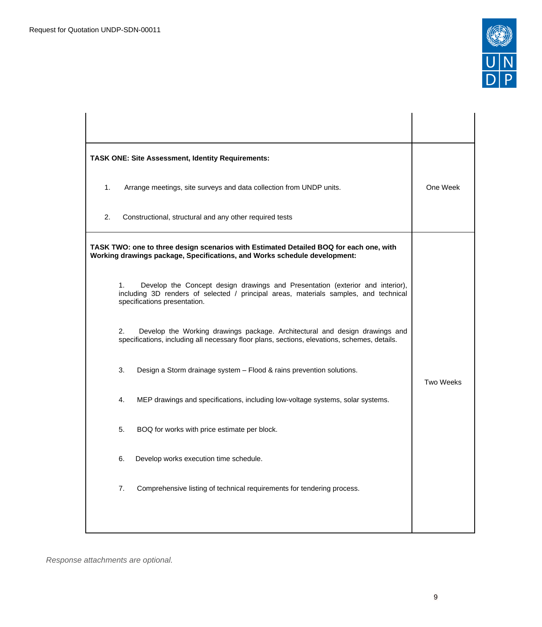

| <b>TASK ONE: Site Assessment, Identity Requirements:</b> |                                                                                                                                                                                                       |                  |
|----------------------------------------------------------|-------------------------------------------------------------------------------------------------------------------------------------------------------------------------------------------------------|------------------|
| 1.                                                       | Arrange meetings, site surveys and data collection from UNDP units.                                                                                                                                   | One Week         |
| 2.                                                       | Constructional, structural and any other required tests                                                                                                                                               |                  |
|                                                          | TASK TWO: one to three design scenarios with Estimated Detailed BOQ for each one, with<br>Working drawings package, Specifications, and Works schedule development:                                   |                  |
| 1.                                                       | Develop the Concept design drawings and Presentation (exterior and interior),<br>including 3D renders of selected / principal areas, materials samples, and technical<br>specifications presentation. |                  |
| 2.                                                       | Develop the Working drawings package. Architectural and design drawings and<br>specifications, including all necessary floor plans, sections, elevations, schemes, details.                           |                  |
| 3.                                                       | Design a Storm drainage system - Flood & rains prevention solutions.                                                                                                                                  | <b>Two Weeks</b> |
| 4.                                                       | MEP drawings and specifications, including low-voltage systems, solar systems.                                                                                                                        |                  |
| 5.                                                       | BOQ for works with price estimate per block.                                                                                                                                                          |                  |
| 6.                                                       | Develop works execution time schedule.                                                                                                                                                                |                  |
| 7.                                                       | Comprehensive listing of technical requirements for tendering process.                                                                                                                                |                  |
|                                                          |                                                                                                                                                                                                       |                  |

Response attachments are optional*.*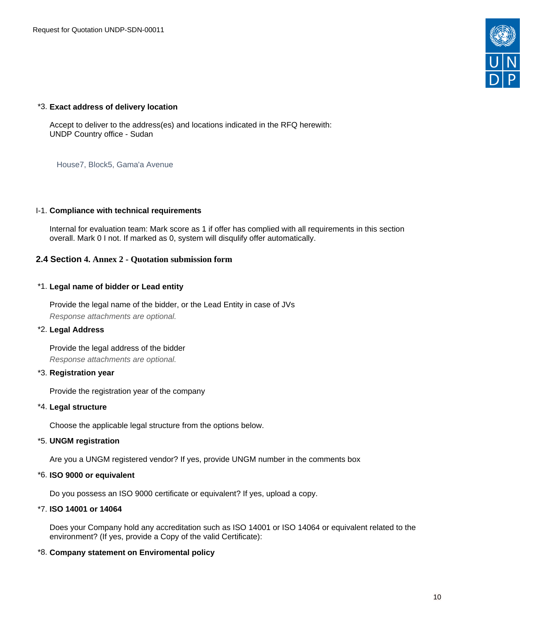

### \*3. **Exact address of delivery location**

Accept to deliver to the address(es) and locations indicated in the RFQ herewith: UNDP Country office - Sudan

House7, Block5, Gama'a Avenue

### I-1. **Compliance with technical requirements**

Internal for evaluation team: Mark score as 1 if offer has complied with all requirements in this section overall. Mark 0 I not. If marked as 0, system will disqulify offer automatically.

## <span id="page-9-0"></span>**2.4 Section 4. Annex 2 - Quotation submission form**

## \*1. **Legal name of bidder or Lead entity**

Provide the legal name of the bidder, or the Lead Entity in case of JVs Response attachments are optional*.*

#### \*2. **Legal Address**

Provide the legal address of the bidder Response attachments are optional*.*

## \*3. **Registration year**

Provide the registration year of the company

## \*4. **Legal structure**

Choose the applicable legal structure from the options below.

#### \*5. **UNGM registration**

Are you a UNGM registered vendor? If yes, provide UNGM number in the comments box

## \*6. **ISO 9000 or equivalent**

Do you possess an ISO 9000 certificate or equivalent? If yes, upload a copy.

### \*7. **ISO 14001 or 14064**

Does your Company hold any accreditation such as ISO 14001 or ISO 14064 or equivalent related to the environment? (If yes, provide a Copy of the valid Certificate):

## \*8. **Company statement on Enviromental policy**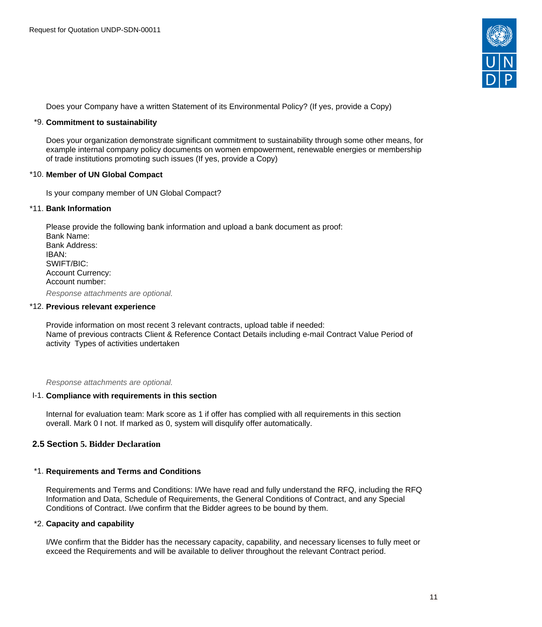

Does your Company have a written Statement of its Environmental Policy? (If yes, provide a Copy)

#### \*9. **Commitment to sustainability**

Does your organization demonstrate significant commitment to sustainability through some other means, for example internal company policy documents on women empowerment, renewable energies or membership of trade institutions promoting such issues (If yes, provide a Copy)

#### \*10. **Member of UN Global Compact**

Is your company member of UN Global Compact?

#### \*11. **Bank Information**

Please provide the following bank information and upload a bank document as proof: Bank Name: Bank Address: IBAN: SWIFT/BIC: Account Currency: Account number:

Response attachments are optional*.*

#### \*12. **Previous relevant experience**

Provide information on most recent 3 relevant contracts, upload table if needed: Name of previous contracts Client & Reference Contact Details including e-mail Contract Value Period of activity Types of activities undertaken

Response attachments are optional*.*

#### I-1. **Compliance with requirements in this section**

Internal for evaluation team: Mark score as 1 if offer has complied with all requirements in this section overall. Mark 0 I not. If marked as 0, system will disqulify offer automatically.

#### <span id="page-10-0"></span>**2.5 Section 5. Bidder Declaration**

#### \*1. **Requirements and Terms and Conditions**

Requirements and Terms and Conditions: I/We have read and fully understand the RFQ, including the RFQ Information and Data, Schedule of Requirements, the General Conditions of Contract, and any Special Conditions of Contract. I/we confirm that the Bidder agrees to be bound by them.

#### \*2. **Capacity and capability**

I/We confirm that the Bidder has the necessary capacity, capability, and necessary licenses to fully meet or exceed the Requirements and will be available to deliver throughout the relevant Contract period.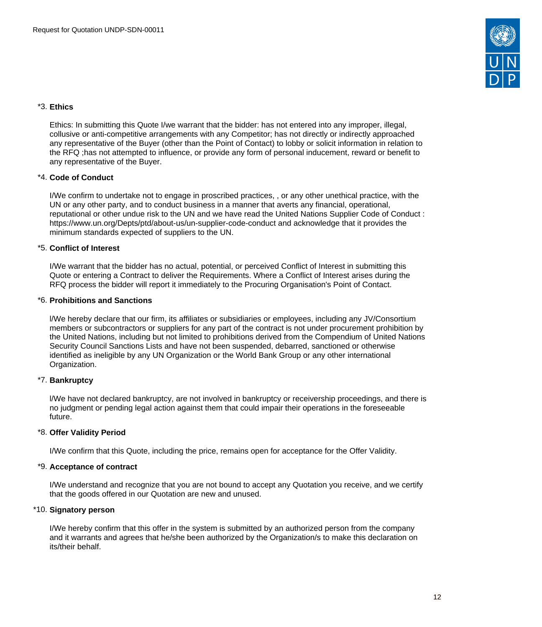

## \*3. **Ethics**

Ethics: In submitting this Quote I/we warrant that the bidder: has not entered into any improper, illegal, collusive or anti-competitive arrangements with any Competitor; has not directly or indirectly approached any representative of the Buyer (other than the Point of Contact) to lobby or solicit information in relation to the RFQ ;has not attempted to influence, or provide any form of personal inducement, reward or benefit to any representative of the Buyer.

### \*4. **Code of Conduct**

I/We confirm to undertake not to engage in proscribed practices, , or any other unethical practice, with the UN or any other party, and to conduct business in a manner that averts any financial, operational, reputational or other undue risk to the UN and we have read the United Nations Supplier Code of Conduct : https://www.un.org/Depts/ptd/about-us/un-supplier-code-conduct and acknowledge that it provides the minimum standards expected of suppliers to the UN.

### \*5. **Conflict of Interest**

I/We warrant that the bidder has no actual, potential, or perceived Conflict of Interest in submitting this Quote or entering a Contract to deliver the Requirements. Where a Conflict of Interest arises during the RFQ process the bidder will report it immediately to the Procuring Organisation's Point of Contact.

### \*6. **Prohibitions and Sanctions**

l/We hereby declare that our firm, its affiliates or subsidiaries or employees, including any JV/Consortium members or subcontractors or suppliers for any part of the contract is not under procurement prohibition by the United Nations, including but not limited to prohibitions derived from the Compendium of United Nations Security Council Sanctions Lists and have not been suspended, debarred, sanctioned or otherwise identified as ineligible by any UN Organization or the World Bank Group or any other international Organization.

#### \*7. **Bankruptcy**

l/We have not declared bankruptcy, are not involved in bankruptcy or receivership proceedings, and there is no judgment or pending legal action against them that could impair their operations in the foreseeable future.

#### \*8. **Offer Validity Period**

I/We confirm that this Quote, including the price, remains open for acceptance for the Offer Validity.

## \*9. **Acceptance of contract**

I/We understand and recognize that you are not bound to accept any Quotation you receive, and we certify that the goods offered in our Quotation are new and unused.

#### \*10. **Signatory person**

I/We hereby confirm that this offer in the system is submitted by an authorized person from the company and it warrants and agrees that he/she been authorized by the Organization/s to make this declaration on its/their behalf.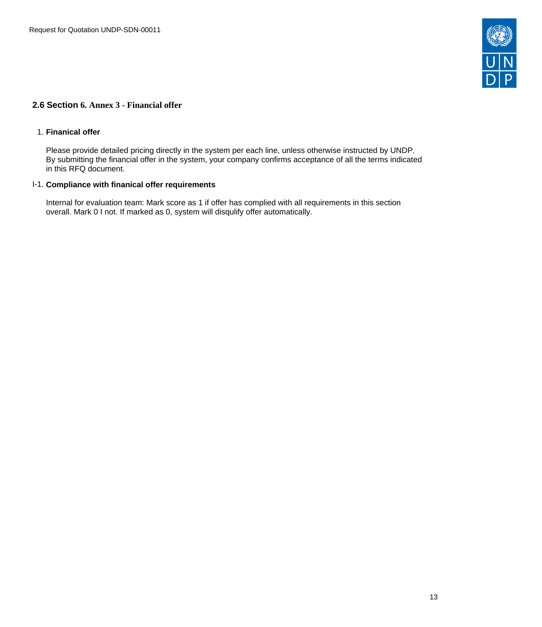

## <span id="page-12-0"></span>**2.6 Section 6. Annex 3 - Financial offer**

#### 1. **Finanical offer**

Please provide detailed pricing directly in the system per each line, unless otherwise instructed by UNDP. By submitting the financial offer in the system, your company confirms acceptance of all the terms indicated in this RFQ document.

### I-1. **Compliance with finanical offer requirements**

Internal for evaluation team: Mark score as 1 if offer has complied with all requirements in this section overall. Mark 0 I not. If marked as 0, system will disqulify offer automatically.